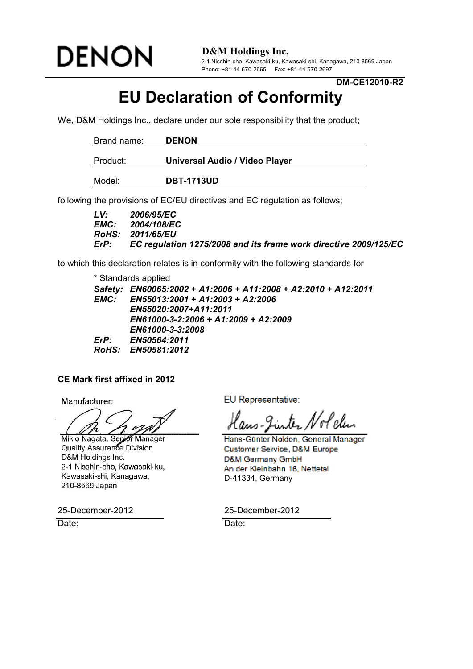

**D&M Holdings Inc.**

2-1 Nisshin-cho, Kawasaki-ku, Kawasaki-shi, Kanagawa, 210-8569 Japan Phone: +81-44-670-2665 Fax: +81-44-670-2697

**DM-CE12010-R2**

## **EU Declaration of Conformity**

We, D&M Holdings Inc., declare under our sole responsibility that the product;

| Brand name: | <b>DENON</b>                   |
|-------------|--------------------------------|
| Product:    | Universal Audio / Video Player |
| Model:      | <b>DBT-1713UD</b>              |

following the provisions of EC/EU directives and EC regulation as follows;

| LV:  | 2006/95/EC                                                       |
|------|------------------------------------------------------------------|
|      | <b>EMC:</b> 2004/108/EC                                          |
|      | <b>RoHS: 2011/65/EU</b>                                          |
| ErP: | EC regulation 1275/2008 and its frame work directive 2009/125/EC |

to which this declaration relates is in conformity with the following standards for

\* Standards applied

*Safety: EN60065:2002 + A1:2006 + A11:2008 + A2:2010 + A12:2011 EMC: EN55013:2001 + A1:2003 + A2:2006 EN55020:2007+A11:2011 EN61000-3-2:2006 + A1:2009 + A2:2009 EN61000-3-3:2008 ErP: EN50564:2011 RoHS: EN50581:2012*

#### **CE Mark first affixed in 2012**

Mikio Nagata, Senior Manager Quality Assurance Division D&M Holdings Inc. 2-1 Nisshin-cho, Kawasaki-ku, Kawasaki-shi, Kanagawa, 210-8569 Japan

25-December-2012 25-December-2012

Date: **Date:** Date: **Date:** Pate: **Date:** 

Manufacturer: EU Representative:

Hans-Günter Nolden, General Manager Customer Service, D&M Europe D&M Germany GmbH An der Kleinbahn 18, Nettetal D-41334, Germany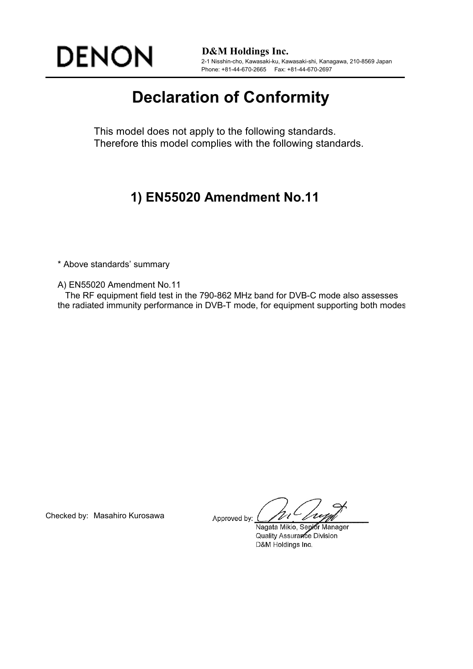

**D&M Holdings Inc.** 2-1 Nisshin-cho, Kawasaki-ku, Kawasaki-shi, Kanagawa, 210-8569 Japan Phone: +81-44-670-2665 Fax: +81-44-670-2697

# **Declaration of Conformity**

This model does not apply to the following standards. Therefore this model complies with the following standards.

### **1) EN55020 Amendment No.11**

\* Above standards' summary

A) EN55020 Amendment No.11

 The RF equipment field test in the 790-862 MHz band for DVB-C mode also assesses the radiated immunity performance in DVB-T mode, for equipment supporting both modes.

Checked by: Masahiro Kurosawa Approved by:

Nagata Mikio, Senior Manager Quality Assurance Division D&M Holdings Inc.